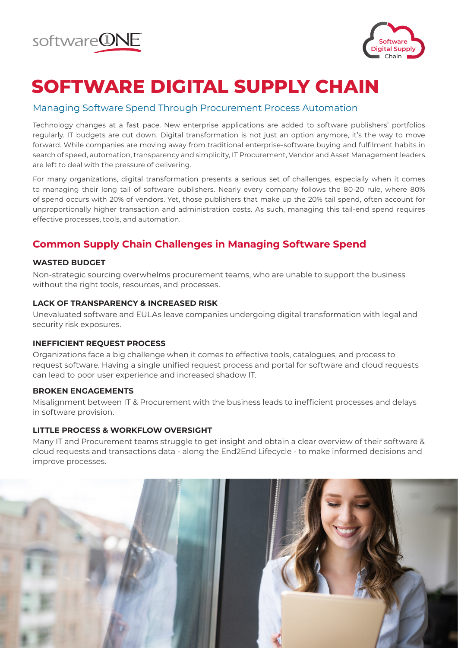



# **SOFTWARE DIGITAL SUPPLY CHAIN**

#### Managing Software Spend Through Procurement Process Automation

Technology changes at a fast pace. New enterprise applications are added to software publishers' portfolios regularly. IT budgets are cut down. Digital transformation is not just an option anymore, it's the way to move forward. While companies are moving away from traditional enterprise-software buying and fulfilment habits in search of speed, automation, transparency and simplicity, IT Procurement, Vendor and Asset Management leaders are left to deal with the pressure of delivering.

For many organizations, digital transformation presents a serious set of challenges, especially when it comes to managing their long tail of software publishers. Nearly every company follows the 80-20 rule, where 80% of spend occurs with 20% of vendors. Yet, those publishers that make up the 20% tail spend, often account for unproportionally higher transaction and administration costs. As such, managing this tail-end spend requires effective processes, tools, and automation.

## **Common Supply Chain Challenges in Managing Software Spend**

#### **WASTED BUDGET**

Non-strategic sourcing overwhelms procurement teams, who are unable to support the business without the right tools, resources, and processes.

#### **LACK OF TRANSPARENCY & INCREASED RISK**

Unevaluated software and EULAs leave companies undergoing digital transformation with legal and security risk exposures.

#### **INEFFICIENT REQUEST PROCESS**

Organizations face a big challenge when it comes to effective tools, catalogues, and process to request software. Having a single unified request process and portal for software and cloud requests can lead to poor user experience and increased shadow IT.

#### **BROKEN ENGAGEMENTS**

Misalignment between IT & Procurement with the business leads to inefficient processes and delays in software provision.

#### **LITTLE PROCESS & WORKFLOW OVERSIGHT**

Many IT and Procurement teams struggle to get insight and obtain a clear overview of their software & cloud requests and transactions data - along the End2End Lifecycle - to make informed decisions and improve processes.

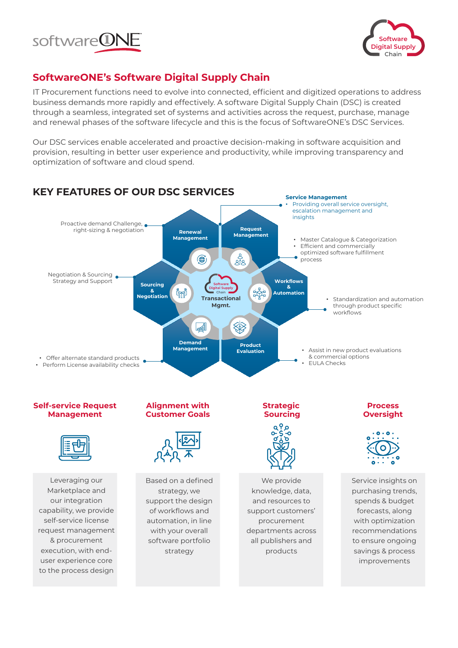



# **SoftwareONE's Software Digital Supply Chain**

IT Procurement functions need to evolve into connected, efficient and digitized operations to address business demands more rapidly and effectively. A software Digital Supply Chain (DSC) is created through a seamless, integrated set of systems and activities across the request, purchase, manage and renewal phases of the software lifecycle and this is the focus of SoftwareONE's DSC Services.

Our DSC services enable accelerated and proactive decision-making in software acquisition and provision, resulting in better user experience and productivity, while improving transparency and optimization of software and cloud spend.